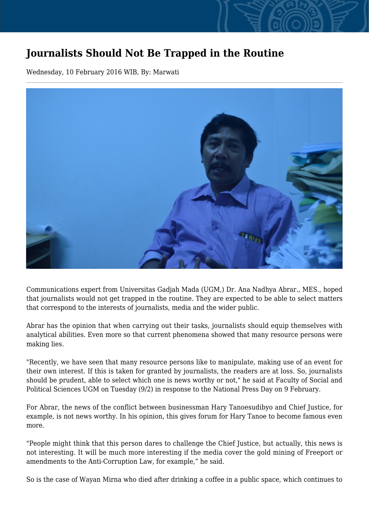## **Journalists Should Not Be Trapped in the Routine**

Wednesday, 10 February 2016 WIB, By: Marwati



Communications expert from Universitas Gadjah Mada (UGM,) Dr. Ana Nadhya Abrar., MES., hoped that journalists would not get trapped in the routine. They are expected to be able to select matters that correspond to the interests of journalists, media and the wider public.

Abrar has the opinion that when carrying out their tasks, journalists should equip themselves with analytical abilities. Even more so that current phenomena showed that many resource persons were making lies.

"Recently, we have seen that many resource persons like to manipulate, making use of an event for their own interest. If this is taken for granted by journalists, the readers are at loss. So, journalists should be prudent, able to select which one is news worthy or not," he said at Faculty of Social and Political Sciences UGM on Tuesday (9/2) in response to the National Press Day on 9 February.

For Abrar, the news of the conflict between businessman Hary Tanoesudibyo and Chief Justice, for example, is not news worthy. In his opinion, this gives forum for Hary Tanoe to become famous even more.

"People might think that this person dares to challenge the Chief Justice, but actually, this news is not interesting. It will be much more interesting if the media cover the gold mining of Freeport or amendments to the Anti-Corruption Law, for example," he said.

So is the case of Wayan Mirna who died after drinking a coffee in a public space, which continues to